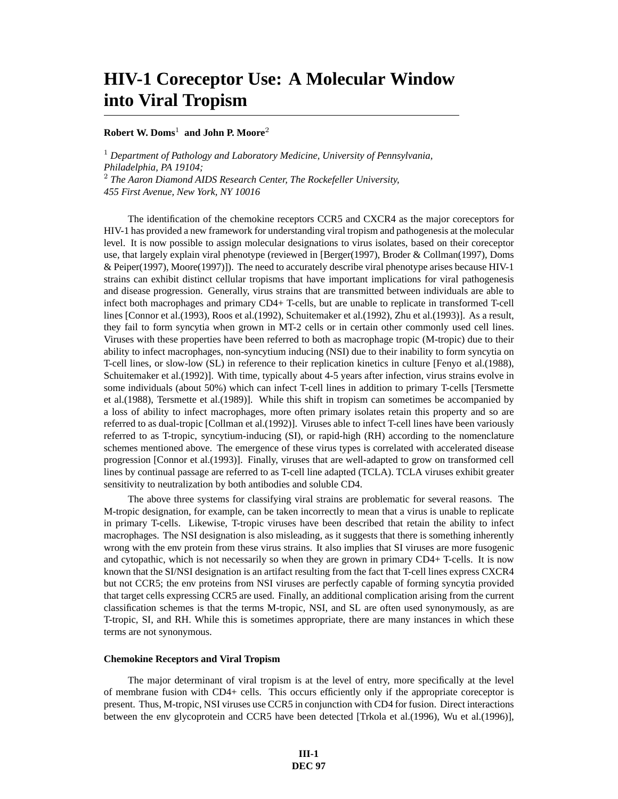# **HIV-1 Coreceptor Use: A Molecular Window into Viral Tropism**

# **Robert W. Doms**<sup>1</sup> **and John P. Moore**<sup>2</sup>

<sup>1</sup> *Department of Pathology and Laboratory Medicine, University of Pennsylvania, Philadelphia, PA 19104;* <sup>2</sup> *The Aaron Diamond AIDS Research Center, The Rockefeller University, 455 First Avenue, New York, NY 10016*

The identification of the chemokine receptors CCR5 and CXCR4 as the major coreceptors for HIV-1 has provided a new framework for understanding viral tropism and pathogenesis at the molecular level. It is now possible to assign molecular designations to virus isolates, based on their coreceptor use, that largely explain viral phenotype (reviewed in [Berger(1997), Broder & Collman(1997), Doms & Peiper(1997), Moore(1997)]). The need to accurately describe viral phenotype arises because HIV-1 strains can exhibit distinct cellular tropisms that have important implications for viral pathogenesis and disease progression. Generally, virus strains that are transmitted between individuals are able to infect both macrophages and primary CD4+ T-cells, but are unable to replicate in transformed T-cell lines [Connor et al.(1993), Roos et al.(1992), Schuitemaker et al.(1992), Zhu et al.(1993)]. As a result, they fail to form syncytia when grown in MT-2 cells or in certain other commonly used cell lines. Viruses with these properties have been referred to both as macrophage tropic (M-tropic) due to their ability to infect macrophages, non-syncytium inducing (NSI) due to their inability to form syncytia on T-cell lines, or slow-low (SL) in reference to their replication kinetics in culture [Fenyo et al.(1988), Schuitemaker et al.(1992)]. With time, typically about 4-5 years after infection, virus strains evolve in some individuals (about 50%) which can infect T-cell lines in addition to primary T-cells [Tersmette et al.(1988), Tersmette et al.(1989)]. While this shift in tropism can sometimes be accompanied by a loss of ability to infect macrophages, more often primary isolates retain this property and so are referred to as dual-tropic [Collman et al.(1992)]. Viruses able to infect T-cell lines have been variously referred to as T-tropic, syncytium-inducing (SI), or rapid-high (RH) according to the nomenclature schemes mentioned above. The emergence of these virus types is correlated with accelerated disease progression [Connor et al.(1993)]. Finally, viruses that are well-adapted to grow on transformed cell lines by continual passage are referred to as T-cell line adapted (TCLA). TCLA viruses exhibit greater sensitivity to neutralization by both antibodies and soluble CD4.

The above three systems for classifying viral strains are problematic for several reasons. The M-tropic designation, for example, can be taken incorrectly to mean that a virus is unable to replicate in primary T-cells. Likewise, T-tropic viruses have been described that retain the ability to infect macrophages. The NSI designation is also misleading, as it suggests that there is something inherently wrong with the env protein from these virus strains. It also implies that SI viruses are more fusogenic and cytopathic, which is not necessarily so when they are grown in primary CD4+ T-cells. It is now known that the SI/NSI designation is an artifact resulting from the fact that T-cell lines express CXCR4 but not CCR5; the env proteins from NSI viruses are perfectly capable of forming syncytia provided that target cells expressing CCR5 are used. Finally, an additional complication arising from the current classification schemes is that the terms M-tropic, NSI, and SL are often used synonymously, as are T-tropic, SI, and RH. While this is sometimes appropriate, there are many instances in which these terms are not synonymous.

## **Chemokine Receptors and Viral Tropism**

The major determinant of viral tropism is at the level of entry, more specifically at the level of membrane fusion with CD4+ cells. This occurs efficiently only if the appropriate coreceptor is present. Thus, M-tropic, NSI viruses use CCR5 in conjunction with CD4 for fusion. Direct interactions between the env glycoprotein and CCR5 have been detected [Trkola et al.(1996), Wu et al.(1996)],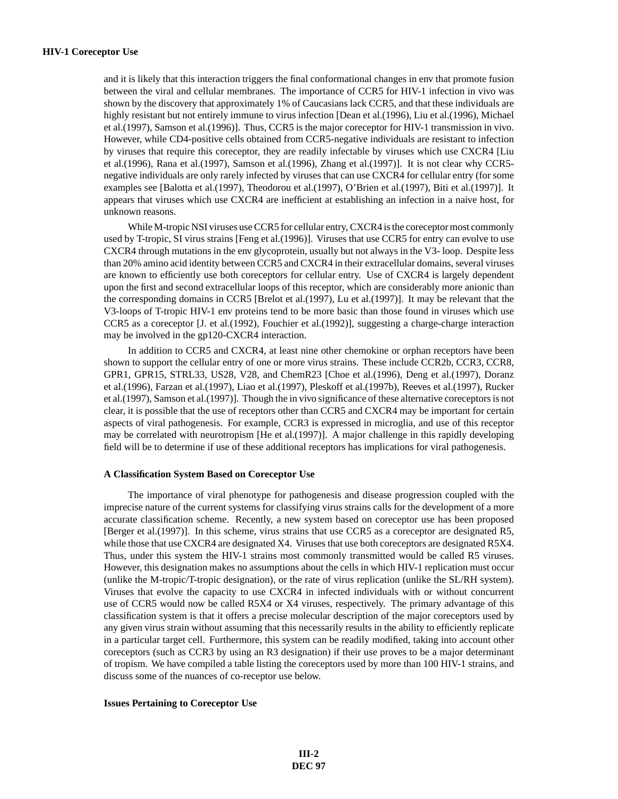and it is likely that this interaction triggers the final conformational changes in env that promote fusion between the viral and cellular membranes. The importance of CCR5 for HIV-1 infection in vivo was shown by the discovery that approximately 1% of Caucasians lack CCR5, and that these individuals are highly resistant but not entirely immune to virus infection [Dean et al.(1996), Liu et al.(1996), Michael et al.(1997), Samson et al.(1996)]. Thus, CCR5 is the major coreceptor for HIV-1 transmission in vivo. However, while CD4-positive cells obtained from CCR5-negative individuals are resistant to infection by viruses that require this coreceptor, they are readily infectable by viruses which use CXCR4 [Liu et al.(1996), Rana et al.(1997), Samson et al.(1996), Zhang et al.(1997)]. It is not clear why CCR5 negative individuals are only rarely infected by viruses that can use CXCR4 for cellular entry (for some examples see [Balotta et al.(1997), Theodorou et al.(1997), O'Brien et al.(1997), Biti et al.(1997)]. It appears that viruses which use CXCR4 are inefficient at establishing an infection in a naive host, for unknown reasons.

While M-tropic NSI viruses use CCR5 for cellular entry, CXCR4 is the coreceptor most commonly used by T-tropic, SI virus strains [Feng et al.(1996)]. Viruses that use CCR5 for entry can evolve to use CXCR4 through mutations in the env glycoprotein, usually but not always in the V3- loop. Despite less than 20% amino acid identity between CCR5 and CXCR4 in their extracellular domains, several viruses are known to efficiently use both coreceptors for cellular entry. Use of CXCR4 is largely dependent upon the first and second extracellular loops of this receptor, which are considerably more anionic than the corresponding domains in CCR5 [Brelot et al.(1997), Lu et al.(1997)]. It may be relevant that the V3-loops of T-tropic HIV-1 env proteins tend to be more basic than those found in viruses which use CCR5 as a coreceptor [J. et al.(1992), Fouchier et al.(1992)], suggesting a charge-charge interaction may be involved in the gp120-CXCR4 interaction.

In addition to CCR5 and CXCR4, at least nine other chemokine or orphan receptors have been shown to support the cellular entry of one or more virus strains. These include CCR2b, CCR3, CCR8, GPR1, GPR15, STRL33, US28, V28, and ChemR23 [Choe et al.(1996), Deng et al.(1997), Doranz et al.(1996), Farzan et al.(1997), Liao et al.(1997), Pleskoff et al.(1997b), Reeves et al.(1997), Rucker et al.(1997), Samson et al.(1997)]. Though the in vivo significance of these alternative coreceptors is not clear, it is possible that the use of receptors other than CCR5 and CXCR4 may be important for certain aspects of viral pathogenesis. For example, CCR3 is expressed in microglia, and use of this receptor may be correlated with neurotropism [He et al.(1997)]. A major challenge in this rapidly developing field will be to determine if use of these additional receptors has implications for viral pathogenesis.

# **A Classification System Based on Coreceptor Use**

The importance of viral phenotype for pathogenesis and disease progression coupled with the imprecise nature of the current systems for classifying virus strains calls for the development of a more accurate classification scheme. Recently, a new system based on coreceptor use has been proposed [Berger et al.(1997)]. In this scheme, virus strains that use CCR5 as a coreceptor are designated R5, while those that use CXCR4 are designated X4. Viruses that use both coreceptors are designated R5X4. Thus, under this system the HIV-1 strains most commonly transmitted would be called R5 viruses. However, this designation makes no assumptions about the cells in which HIV-1 replication must occur (unlike the M-tropic/T-tropic designation), or the rate of virus replication (unlike the SL/RH system). Viruses that evolve the capacity to use CXCR4 in infected individuals with or without concurrent use of CCR5 would now be called R5X4 or X4 viruses, respectively. The primary advantage of this classification system is that it offers a precise molecular description of the major coreceptors used by any given virus strain without assuming that this necessarily results in the ability to efficiently replicate in a particular target cell. Furthermore, this system can be readily modified, taking into account other coreceptors (such as CCR3 by using an R3 designation) if their use proves to be a major determinant of tropism. We have compiled a table listing the coreceptors used by more than 100 HIV-1 strains, and discuss some of the nuances of co-receptor use below.

### **Issues Pertaining to Coreceptor Use**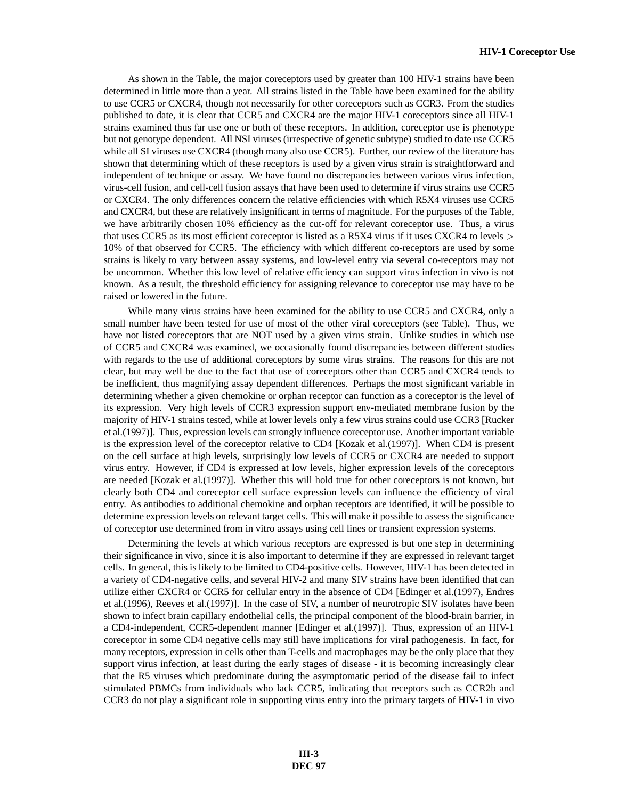As shown in the Table, the major coreceptors used by greater than 100 HIV-1 strains have been determined in little more than a year. All strains listed in the Table have been examined for the ability to use CCR5 or CXCR4, though not necessarily for other coreceptors such as CCR3. From the studies published to date, it is clear that CCR5 and CXCR4 are the major HIV-1 coreceptors since all HIV-1 strains examined thus far use one or both of these receptors. In addition, coreceptor use is phenotype but not genotype dependent. All NSI viruses (irrespective of genetic subtype) studied to date use CCR5 while all SI viruses use CXCR4 (though many also use CCR5). Further, our review of the literature has shown that determining which of these receptors is used by a given virus strain is straightforward and independent of technique or assay. We have found no discrepancies between various virus infection, virus-cell fusion, and cell-cell fusion assays that have been used to determine if virus strains use CCR5 or CXCR4. The only differences concern the relative efficiencies with which R5X4 viruses use CCR5 and CXCR4, but these are relatively insignificant in terms of magnitude. For the purposes of the Table, we have arbitrarily chosen 10% efficiency as the cut-off for relevant coreceptor use. Thus, a virus that uses CCR5 as its most efficient coreceptor is listed as a R5X4 virus if it uses CXCR4 to levels > 10% of that observed for CCR5. The efficiency with which different co-receptors are used by some strains is likely to vary between assay systems, and low-level entry via several co-receptors may not be uncommon. Whether this low level of relative efficiency can support virus infection in vivo is not known. As a result, the threshold efficiency for assigning relevance to coreceptor use may have to be raised or lowered in the future.

While many virus strains have been examined for the ability to use CCR5 and CXCR4, only a small number have been tested for use of most of the other viral coreceptors (see Table). Thus, we have not listed coreceptors that are NOT used by a given virus strain. Unlike studies in which use of CCR5 and CXCR4 was examined, we occasionally found discrepancies between different studies with regards to the use of additional coreceptors by some virus strains. The reasons for this are not clear, but may well be due to the fact that use of coreceptors other than CCR5 and CXCR4 tends to be inefficient, thus magnifying assay dependent differences. Perhaps the most significant variable in determining whether a given chemokine or orphan receptor can function as a coreceptor is the level of its expression. Very high levels of CCR3 expression support env-mediated membrane fusion by the majority of HIV-1 strains tested, while at lower levels only a few virus strains could use CCR3 [Rucker et al.(1997)]. Thus, expression levels can strongly influence coreceptor use. Another important variable is the expression level of the coreceptor relative to CD4 [Kozak et al.(1997)]. When CD4 is present on the cell surface at high levels, surprisingly low levels of CCR5 or CXCR4 are needed to support virus entry. However, if CD4 is expressed at low levels, higher expression levels of the coreceptors are needed [Kozak et al.(1997)]. Whether this will hold true for other coreceptors is not known, but clearly both CD4 and coreceptor cell surface expression levels can influence the efficiency of viral entry. As antibodies to additional chemokine and orphan receptors are identified, it will be possible to determine expression levels on relevant target cells. This will make it possible to assess the significance of coreceptor use determined from in vitro assays using cell lines or transient expression systems.

Determining the levels at which various receptors are expressed is but one step in determining their significance in vivo, since it is also important to determine if they are expressed in relevant target cells. In general, this is likely to be limited to CD4-positive cells. However, HIV-1 has been detected in a variety of CD4-negative cells, and several HIV-2 and many SIV strains have been identified that can utilize either CXCR4 or CCR5 for cellular entry in the absence of CD4 [Edinger et al.(1997), Endres et al.(1996), Reeves et al.(1997)]. In the case of SIV, a number of neurotropic SIV isolates have been shown to infect brain capillary endothelial cells, the principal component of the blood-brain barrier, in a CD4-independent, CCR5-dependent manner [Edinger et al.(1997)]. Thus, expression of an HIV-1 coreceptor in some CD4 negative cells may still have implications for viral pathogenesis. In fact, for many receptors, expression in cells other than T-cells and macrophages may be the only place that they support virus infection, at least during the early stages of disease - it is becoming increasingly clear that the R5 viruses which predominate during the asymptomatic period of the disease fail to infect stimulated PBMCs from individuals who lack CCR5, indicating that receptors such as CCR2b and CCR3 do not play a significant role in supporting virus entry into the primary targets of HIV-1 in vivo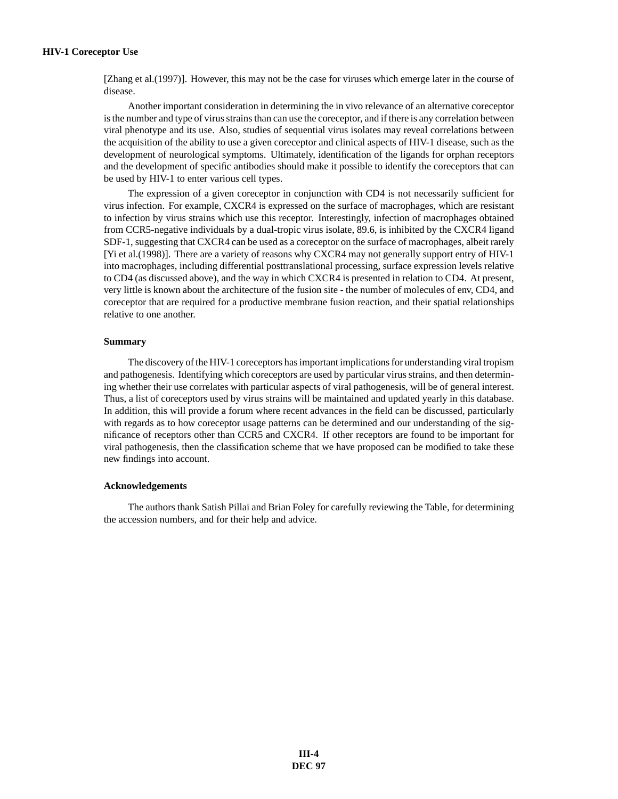[Zhang et al.(1997)]. However, this may not be the case for viruses which emerge later in the course of disease.

Another important consideration in determining the in vivo relevance of an alternative coreceptor is the number and type of virus strains than can use the coreceptor, and if there is any correlation between viral phenotype and its use. Also, studies of sequential virus isolates may reveal correlations between the acquisition of the ability to use a given coreceptor and clinical aspects of HIV-1 disease, such as the development of neurological symptoms. Ultimately, identification of the ligands for orphan receptors and the development of specific antibodies should make it possible to identify the coreceptors that can be used by HIV-1 to enter various cell types.

The expression of a given coreceptor in conjunction with CD4 is not necessarily sufficient for virus infection. For example, CXCR4 is expressed on the surface of macrophages, which are resistant to infection by virus strains which use this receptor. Interestingly, infection of macrophages obtained from CCR5-negative individuals by a dual-tropic virus isolate, 89.6, is inhibited by the CXCR4 ligand SDF-1, suggesting that CXCR4 can be used as a coreceptor on the surface of macrophages, albeit rarely [Yi et al.(1998)]. There are a variety of reasons why CXCR4 may not generally support entry of HIV-1 into macrophages, including differential posttranslational processing, surface expression levels relative to CD4 (as discussed above), and the way in which CXCR4 is presented in relation to CD4. At present, very little is known about the architecture of the fusion site - the number of molecules of env, CD4, and coreceptor that are required for a productive membrane fusion reaction, and their spatial relationships relative to one another.

# **Summary**

The discovery of the HIV-1 coreceptors has important implications for understanding viral tropism and pathogenesis. Identifying which coreceptors are used by particular virus strains, and then determining whether their use correlates with particular aspects of viral pathogenesis, will be of general interest. Thus, a list of coreceptors used by virus strains will be maintained and updated yearly in this database. In addition, this will provide a forum where recent advances in the field can be discussed, particularly with regards as to how coreceptor usage patterns can be determined and our understanding of the significance of receptors other than CCR5 and CXCR4. If other receptors are found to be important for viral pathogenesis, then the classification scheme that we have proposed can be modified to take these new findings into account.

#### **Acknowledgements**

The authors thank Satish Pillai and Brian Foley for carefully reviewing the Table, for determining the accession numbers, and for their help and advice.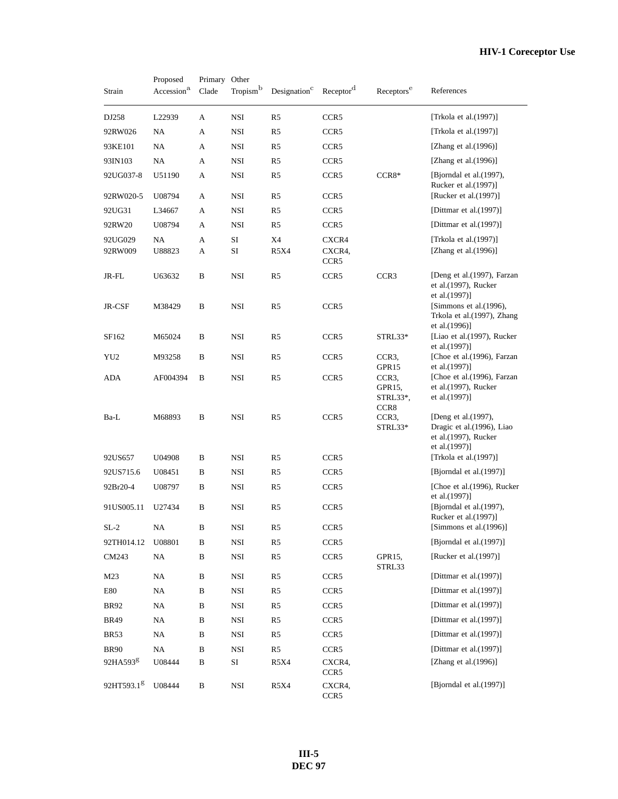# **HIV-1 Coreceptor Use**

| Strain                 | Proposed<br>Accession <sup>a</sup> | Primary Other<br>Clade | Tropism <sup>b</sup> | Designation <sup>c</sup> | Receptor <sup>d</sup>               | Receptors <sup>e</sup>                                      | References                                                                                 |
|------------------------|------------------------------------|------------------------|----------------------|--------------------------|-------------------------------------|-------------------------------------------------------------|--------------------------------------------------------------------------------------------|
| DJ258                  | L22939                             | A                      | NSI                  | R <sub>5</sub>           | CCR <sub>5</sub>                    |                                                             | [Trkola et al.(1997)]                                                                      |
| 92RW026                | NA                                 | A                      | <b>NSI</b>           | R5                       | CCR5                                |                                                             | [Trkola et al.(1997)]                                                                      |
| 93KE101                | NA                                 | A                      | <b>NSI</b>           | R <sub>5</sub>           | CCR5                                |                                                             | [Zhang et al. $(1996)$ ]                                                                   |
| 93IN103                | NA                                 | A                      | NSI                  | R <sub>5</sub>           | CCR <sub>5</sub>                    |                                                             | [Zhang et al. $(1996)$ ]                                                                   |
| 92UG037-8              | U51190                             | A                      | <b>NSI</b>           | R5                       | CCR <sub>5</sub>                    | $CCR8*$                                                     | [Bjorndal et al.(1997),<br>Rucker et al.(1997)]                                            |
| 92RW020-5              | U08794                             | A                      | NSI                  | R5                       | CCR <sub>5</sub>                    |                                                             | [Rucker et al.(1997)]                                                                      |
| 92UG31                 | L34667                             | A                      | <b>NSI</b>           | R5                       | CCR5                                |                                                             | [Dittmar et al.(1997)]                                                                     |
| 92RW20                 | U08794                             | A                      | <b>NSI</b>           | R <sub>5</sub>           | CCR5                                |                                                             | [Dittmar et al.(1997)]                                                                     |
| 92UG029<br>92RW009     | NA<br>U88823                       | A<br>А                 | $\rm SI$<br>SI       | X4<br>R5X4               | CXCR4<br>CXCR4,<br>CCR <sub>5</sub> |                                                             | [Trkola et al.(1997)]<br>[Zhang et al.(1996)]                                              |
| JR-FL                  | U63632                             | B                      | NSI                  | R5                       | CCR <sub>5</sub>                    | CCR3                                                        | [Deng et al. (1997), Farzan<br>et al. $(1997)$ , Rucker<br>et al.(1997)]                   |
| JR-CSF                 | M38429                             | B                      | NSI                  | R <sub>5</sub>           | CCR5                                |                                                             | [Simmons et al.(1996),<br>Trkola et al.(1997), Zhang<br>et al.(1996)]                      |
| SF162                  | M65024                             | B                      | NSI                  | R <sub>5</sub>           | CCR5                                | STRL33*                                                     | [Liao et al.(1997), Rucker<br>et al.(1997)]                                                |
| YU <sub>2</sub>        | M93258                             | B                      | <b>NSI</b>           | R <sub>5</sub>           | CCR5                                | CCR <sub>3</sub><br>GPR15                                   | [Choe et al.(1996), Farzan<br>et al.(1997)]                                                |
| ADA                    | AF004394                           | B                      | NSI                  | R5                       | CCR5                                | CCR <sub>3</sub><br>GPR <sub>15</sub> ,<br>STRL33*,<br>CCR8 | [Choe et al.(1996), Farzan<br>et al.(1997), Rucker<br>et al.(1997)]                        |
| Ba-L                   | M68893                             | B                      | <b>NSI</b>           | R <sub>5</sub>           | CCR5                                | CCR3,<br>STRL33*                                            | [Deng et al. (1997),<br>Dragic et al.(1996), Liao<br>et al.(1997), Rucker<br>et al.(1997)] |
| 92US657                | U04908                             | B                      | NSI                  | R <sub>5</sub>           | CCR <sub>5</sub>                    |                                                             | [Trkola et al.(1997)]                                                                      |
| 92US715.6              | U08451                             | В                      | NSI                  | R5                       | CCR5                                |                                                             | [Bjorndal et al.(1997)]                                                                    |
| 92Br20-4               | U08797                             | B                      | NSI                  | R <sub>5</sub>           | CCR5                                |                                                             | [Choe et al.(1996), Rucker<br>et al.(1997)]                                                |
| 91US005.11             | U27434                             | B                      | NSI                  | R <sub>5</sub>           | CCR5                                |                                                             | [Bjorndal et al.(1997),<br>Rucker et al.(1997)]                                            |
| $SL-2$                 | NA                                 | В                      | $_{\rm NSI}$         | R <sub>5</sub>           | CCR <sub>5</sub>                    |                                                             | [Simmons et al.(1996)]                                                                     |
| 92TH014.12             | U08801                             | В                      | NSI                  | R5                       | CCR <sub>5</sub>                    |                                                             | [Bjorndal et al.(1997)]                                                                    |
| CM243                  | NA                                 | B                      | NSI                  | R5                       | CCR5                                | GPR15,<br>STRL33                                            | [Rucker et al.(1997)]                                                                      |
| M23                    | NA                                 | B                      | NSI                  | R5                       | CCR5                                |                                                             | [Dittmar et al. $(1997)$ ]                                                                 |
| E80                    | NA                                 | B                      | NSI                  | R5                       | CCR <sub>5</sub>                    |                                                             | [Dittmar et al. $(1997)$ ]                                                                 |
| <b>BR92</b>            | NA                                 | B                      | NSI                  | R5                       | CCR <sub>5</sub>                    |                                                             | [Dittmar et al.(1997)]                                                                     |
| <b>BR49</b>            | NA                                 | B                      | NSI                  | R5                       | CCR5                                |                                                             | [Dittmar et al. $(1997)$ ]                                                                 |
| <b>BR53</b>            | NA                                 | В                      | NSI                  | R5                       | CCR5                                |                                                             | [Dittmar et al.(1997)]                                                                     |
| <b>BR90</b>            | NA                                 | B                      | NSI                  | R5                       | CCR5                                |                                                             | [Dittmar et al. $(1997)$ ]                                                                 |
| 92HA593 <sup>g</sup>   | U08444                             | В                      | SI                   | <b>R5X4</b>              | CXCR4,<br>CCR <sub>5</sub>          |                                                             | [Zhang et al. $(1996)$ ]                                                                   |
| 92HT593.1 <sup>g</sup> | U08444                             | $\, {\bf B}$           | NSI                  | R5X4                     | CXCR4,<br>CCR <sub>5</sub>          |                                                             | [Bjorndal et al.(1997)]                                                                    |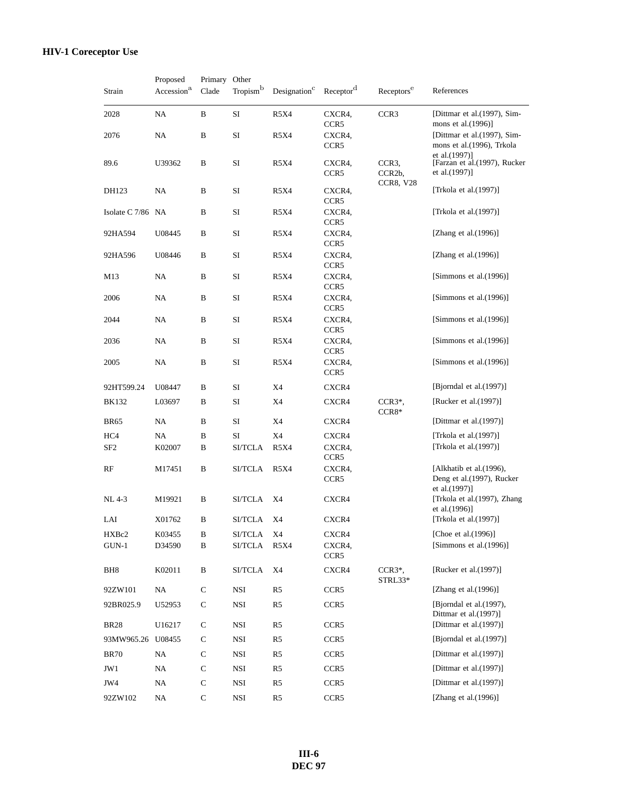| Strain            | Proposed<br>Accession <sup>a</sup> | Primary Other<br>Clade | Tropism <sup>b</sup> | Designation <sup>C</sup> | Receptor <sup>d</sup>      | Receptors <sup>e</sup>                  | References                                                                                                                    |
|-------------------|------------------------------------|------------------------|----------------------|--------------------------|----------------------------|-----------------------------------------|-------------------------------------------------------------------------------------------------------------------------------|
| 2028              | NA                                 | B                      | SI                   | <b>R5X4</b>              | CXCR4,<br>CCR5             | CCR <sub>3</sub>                        | [Dittmar et al. (1997), Sim-<br>mons et al.(1996)]                                                                            |
| 2076              | NA                                 | B                      | SI                   | <b>R5X4</b>              | CXCR4,<br>CCR5             |                                         | [Dittmar et al. (1997), Sim-<br>mons et al.(1996), Trkola<br>et al. (1997)]<br>[Farzan et al. (1997), Rucker<br>et al.(1997)] |
| 89.6              | U39362                             | B                      | SI                   | R5X4                     | CXCR4,<br>CCR5             | CCR <sub>3</sub><br>CCR <sub>2</sub> b, |                                                                                                                               |
| DH123             | NA                                 | B                      | SI                   | R5X4                     | CXCR4,<br>CCR5             | <b>CCR8, V28</b>                        | [Trkola et al. $(1997)$ ]                                                                                                     |
| Isolate C 7/86 NA |                                    | B                      | SI                   | <b>R5X4</b>              | CXCR4,<br>CCR5             |                                         | [Trkola et al.(1997)]                                                                                                         |
| 92HA594           | U08445                             | B                      | SI                   | R5X4                     | CXCR4,<br>CCR5             |                                         | [Zhang et al. $(1996)$ ]                                                                                                      |
| 92HA596           | U08446                             | B                      | SI                   | <b>R5X4</b>              | CXCR4,<br>CCR5             |                                         | [Zhang et al. $(1996)$ ]                                                                                                      |
| M13               | NA                                 | B                      | SI                   | R5X4                     | CXCR4,<br>CCR5             |                                         | [Simmons et al. $(1996)$ ]                                                                                                    |
| 2006              | NA                                 | B                      | SI                   | <b>R5X4</b>              | CXCR4.<br>CCR5             |                                         | [Simmons et al. $(1996)$ ]                                                                                                    |
| 2044              | NA                                 | B                      | SI                   | R5X4                     | CXCR4,<br>CCR5             |                                         | [Simmons et al.(1996)]                                                                                                        |
| 2036              | NA                                 | B                      | SI                   | <b>R5X4</b>              | CXCR4,<br>CCR5             |                                         | [Simmons et al. $(1996)$ ]                                                                                                    |
| 2005              | NA                                 | B                      | SI                   | <b>R5X4</b>              | CXCR4.<br>CCR5             |                                         | [Simmons et al.(1996)]                                                                                                        |
| 92HT599.24        | U08447                             | B                      | SI                   | X4                       | CXCR4                      |                                         | [Bjorndal et al. $(1997)$ ]                                                                                                   |
| <b>BK132</b>      | L03697                             | B                      | SI                   | X4                       | CXCR4                      | $CCR3*,$<br>$CCR8*$                     | [Rucker et al.(1997)]                                                                                                         |
| <b>BR65</b>       | NA                                 | B                      | SI                   | X4                       | CXCR4                      |                                         | [Dittmar et al. $(1997)$ ]                                                                                                    |
| HC4               | NA                                 | B                      | SI                   | X4                       | CXCR4                      |                                         | [Trkola et al.(1997)]                                                                                                         |
| SF <sub>2</sub>   | K02007                             | B                      | <b>SI/TCLA</b>       | <b>R5X4</b>              | CXCR4,<br>CCR5             |                                         | [Trkola et al.(1997)]                                                                                                         |
| RF                | M17451                             | B                      | <b>SI/TCLA</b>       | <b>R5X4</b>              | CXCR4,<br>CCR <sub>5</sub> |                                         | [Alkhatib et al. (1996),<br>Deng et al.(1997), Rucker<br>et al.(1997)]                                                        |
| NL 4-3            | M19921                             | B                      | <b>SI/TCLA</b>       | X4                       | CXCR4                      |                                         | [Trkola et al.(1997), Zhang<br>et al.(1996)]                                                                                  |
| LAI               | X01762                             | B                      | <b>SI/TCLA</b>       | X4                       | CXCR4                      |                                         | [Trkola et al.(1997)]                                                                                                         |
| HXBc2             | K03455                             | $\, {\bf B}$           | SI/TCLA              | X4                       | CXCR4                      |                                         | [Choe et al.(1996)]                                                                                                           |
| $GUN-1$           | D34590                             | B                      | SI/TCLA              | <b>R5X4</b>              | CXCR4,<br>CCR5             |                                         | [Simmons et al.(1996)]                                                                                                        |
| BH8               | K02011                             | $\, {\bf B}$           | <b>SI/TCLA</b>       | X4                       | CXCR4                      | $CCR3*,$<br>STRL33*                     | [Rucker et al.(1997)]                                                                                                         |
| 92ZW101           | $\rm NA$                           | $\mathbf C$            | $_{\rm NSI}$         | R <sub>5</sub>           | CCR5                       |                                         | [Zhang et al. $(1996)$ ]                                                                                                      |
| 92BR025.9         | U52953                             | ${\bf C}$              | NSI                  | R5                       | CCR5                       |                                         | [Bjorndal et al. (1997),<br>Dittmar et al.(1997)]                                                                             |
| <b>BR28</b>       | U16217                             | ${\bf C}$              | NSI                  | R <sub>5</sub>           | CCR5                       |                                         | [Dittmar et al. $(1997)$ ]                                                                                                    |
| 93MW965.26 U08455 |                                    | $\mathbf C$            | NSI                  | R <sub>5</sub>           | CCR5                       |                                         | [Bjorndal et al.(1997)]                                                                                                       |
| <b>BR70</b>       | NA                                 | $\mathbf C$            | NSI                  | R <sub>5</sub>           | CCR5                       |                                         | [Dittmar et al. $(1997)$ ]                                                                                                    |
| JW1               | NA                                 | $\mathsf{C}$           | NSI                  | R <sub>5</sub>           | CCR5                       |                                         | [Dittmar et al. $(1997)$ ]                                                                                                    |
| JW4               | NA                                 | $\mathbf C$            | NSI                  | R5                       | CCR5                       |                                         | [Dittmar et al. $(1997)$ ]                                                                                                    |
| 92ZW102           | NA                                 | $\mathsf{C}$           | $_{\rm NSI}$         | R <sub>5</sub>           | CCR5                       |                                         | [Zhang et al.(1996)]                                                                                                          |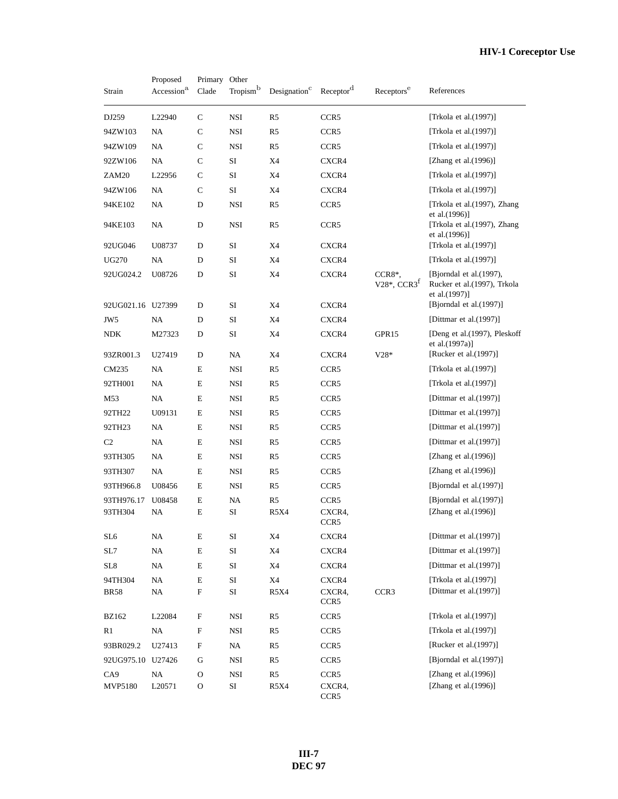| Strain                 | Proposed<br>Accession <sup>a</sup> | Primary<br>Clade   | Other<br>Tropism <sup>b</sup> | Designation <sup>c</sup>      | Receptor <sup>d</sup>               | Receptors <sup>e</sup>                | References                                                                |
|------------------------|------------------------------------|--------------------|-------------------------------|-------------------------------|-------------------------------------|---------------------------------------|---------------------------------------------------------------------------|
| DJ259                  | L22940                             | $\mathsf{C}$       | NSI                           | R <sub>5</sub>                | CCR <sub>5</sub>                    |                                       | [Trkola et al.(1997)]                                                     |
| 94ZW103                | NA                                 | С                  | NSI                           | R <sub>5</sub>                | CCR <sub>5</sub>                    |                                       | [Trkola et al.(1997)]                                                     |
| 94ZW109                | NA                                 | $\mathsf{C}$       | <b>NSI</b>                    | R5                            | CCR <sub>5</sub>                    |                                       | [Trkola et al. $(1997)$ ]                                                 |
| 92ZW106                | NA                                 | $\mathsf{C}$       | SI                            | X4                            | CXCR4                               |                                       | [Zhang et al. $(1996)$ ]                                                  |
| ZAM20                  | L22956                             | $\mathsf{C}$       | $\rm SI$                      | X4                            | CXCR4                               |                                       | [Trkola et al. $(1997)$ ]                                                 |
| 94ZW106                | NA                                 | C                  | SI                            | X4                            | CXCR4                               |                                       | [Trkola et al.(1997)]                                                     |
| 94KE102                | NA                                 | D                  | NSI                           | R5                            | CCR <sub>5</sub>                    |                                       | [Trkola et al. (1997), Zhang                                              |
| 94KE103                | NA                                 | D                  | <b>NSI</b>                    | R <sub>5</sub>                | CCR <sub>5</sub>                    |                                       | et al.(1996)]<br>[Trkola et al.(1997), Zhang<br>et al.(1996)]             |
| 92UG046                | U08737                             | D                  | SI                            | X4                            | CXCR4                               |                                       | [Trkola et al.(1997)]                                                     |
| <b>UG270</b>           | NA                                 | D                  | SI                            | X4                            | CXCR4                               |                                       | [Trkola et al.(1997)]                                                     |
| 92UG024.2              | U08726                             | D                  | SI                            | X4                            | CXCR4                               | CCR8*,<br>$V28^*$ , CCR3 <sup>f</sup> | [Bjorndal et al. (1997),<br>Rucker et al. (1997), Trkola<br>et al.(1997)] |
| 92UG021.16 U27399      |                                    | D                  | SI                            | X4                            | CXCR4                               |                                       | [Bjorndal et al.(1997)]                                                   |
| JW <sub>5</sub>        | NA                                 | D                  | SI                            | X4                            | CXCR4                               |                                       | [Dittmar et al.(1997)]                                                    |
| <b>NDK</b>             | M27323                             | D                  | SI                            | X4                            | CXCR4                               | GPR15                                 | [Deng et al.(1997), Pleskoff<br>et al.(1997a)]                            |
| 93ZR001.3              | U27419                             | D                  | NA                            | X4                            | CXCR4                               | $V28*$                                | [Rucker et al.(1997)]                                                     |
| CM235                  | NA                                 | E                  | <b>NSI</b>                    | R <sub>5</sub>                | CCR <sub>5</sub>                    |                                       | [Trkola et al. $(1997)$ ]                                                 |
| 92TH001                | NA                                 | E                  | <b>NSI</b>                    | R <sub>5</sub>                | CCR <sub>5</sub>                    |                                       | [Trkola et al.(1997)]                                                     |
| M53                    | NA                                 | E                  | NSI                           | R5                            | CCR <sub>5</sub>                    |                                       | [Dittmar et al.(1997)]                                                    |
| 92TH22                 | U09131                             | E                  | <b>NSI</b>                    | R5                            | CCR <sub>5</sub>                    |                                       | [Dittmar et al. $(1997)$ ]                                                |
| 92TH23                 | NA                                 | E                  | NSI                           | R <sub>5</sub>                | CCR <sub>5</sub>                    |                                       | [Dittmar et al. $(1997)$ ]                                                |
| C <sub>2</sub>         | NA                                 | E                  | <b>NSI</b>                    | R5                            | CCR <sub>5</sub>                    |                                       | [Dittmar et al.(1997)]                                                    |
| 93TH305                | NA                                 | E                  | <b>NSI</b>                    | R5                            | CCR <sub>5</sub>                    |                                       | [Zhang et al. $(1996)$ ]                                                  |
| 93TH307                | NA                                 | E                  | NSI                           | R5                            | CCR <sub>5</sub>                    |                                       | [Zhang et al. $(1996)$ ]                                                  |
| 93TH966.8              | U08456                             | E                  | NSI                           | R5                            | CCR <sub>5</sub>                    |                                       | [Bjorndal et al.(1997)]                                                   |
| 93TH976.17<br>93TH304  | U08458<br>NA                       | E<br>E             | NA<br>SI                      | R <sub>5</sub><br><b>R5X4</b> | CCR <sub>5</sub><br>CXCR4,<br>CCR5  |                                       | [Bjorndal et al.(1997)]<br>[Zhang et al.(1996)]                           |
| SL <sub>6</sub>        | NA                                 | Е                  | SI                            | X4                            | CXCR4                               |                                       | [Dittmar et al.(1997)]                                                    |
| SL7                    | NA                                 | Е                  | SI                            | X4                            | CXCR4                               |                                       | [Dittmar et al.(1997)]                                                    |
| SL8                    | NA                                 | $\mathbf E$        | SI                            | X4                            | CXCR4                               |                                       | [Dittmar et al.(1997)]                                                    |
| 94TH304<br><b>BR58</b> | NA<br>NA                           | Е<br>${\bf F}$     | SI<br>$\rm SI$                | X4<br>R5X4                    | CXCR4<br>CXCR4,<br>CCR <sub>5</sub> | CCR3                                  | [Trkola et al.(1997)]<br>[Dittmar et al.(1997)]                           |
| <b>BZ162</b>           | L22084                             | F                  | NSI                           | R5                            | CCR <sub>5</sub>                    |                                       | [Trkola et al.(1997)]                                                     |
| R <sub>1</sub>         | $\rm NA$                           | ${\rm F}$          | <b>NSI</b>                    | R5                            | CCR5                                |                                       | [Trkola et al.(1997)]                                                     |
| 93BR029.2              | U27413                             | F                  | NA                            | R5                            | CCR <sub>5</sub>                    |                                       | [Rucker et al.(1997)]                                                     |
| 92UG975.10 U27426      |                                    | G                  | NSI                           | R5                            | CCR <sub>5</sub>                    |                                       | [Bjorndal et al.(1997)]                                                   |
| CA9<br>MVP5180         | $\rm NA$<br>L20571                 | $\mathcal{O}$<br>O | $_{\rm NSI}$<br>SI            | R5<br>R5X4                    | CCR5<br>CXCR4,<br>CCR <sub>5</sub>  |                                       | [Zhang et al.(1996)]<br>[Zhang et al. $(1996)$ ]                          |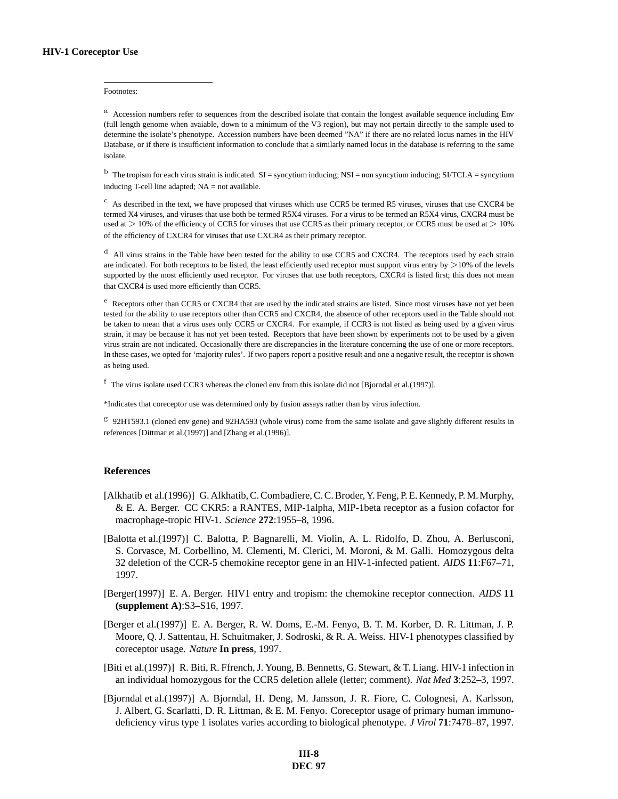#### Footnotes:

<sup>a</sup> Accession numbers refer to sequences from the described isolate that contain the longest available sequence including Env (full length genome when avaiable, down to a minimum of the V3 region), but may not pertain directly to the sample used to determine the isolate's phenotype. Accession numbers have been deemed "NA" if there are no related locus names in the HIV Database, or if there is insufficient information to conclude that a similarly named locus in the database is referring to the same isolate.

 $<sup>b</sup>$  The tropism for each virus strain is indicated. SI = syncytium inducing; NSI = non syncytium inducing; SI/TCLA = syncytium</sup> inducing T-cell line adapted; NA = not available.

 $\rm{c}$  As described in the text, we have proposed that viruses which use CCR5 be termed R5 viruses, viruses that use CXCR4 be termed X4 viruses, and viruses that use both be termed R5X4 viruses. For a virus to be termed an R5X4 virus, CXCR4 must be used at  $> 10\%$  of the efficiency of CCR5 for viruses that use CCR5 as their primary receptor, or CCR5 must be used at  $> 10\%$ of the efficiency of CXCR4 for viruses that use CXCR4 as their primary receptor.

<sup>d</sup> All virus strains in the Table have been tested for the ability to use CCR5 and CXCR4. The receptors used by each strain are indicated. For both receptors to be listed, the least efficiently used receptor must support virus entry by  $>$ 10% of the levels supported by the most efficiently used receptor. For viruses that use both receptors, CXCR4 is listed first; this does not mean that CXCR4 is used more efficiently than CCR5.

 $e<sup>e</sup>$  Receptors other than CCR5 or CXCR4 that are used by the indicated strains are listed. Since most viruses have not yet been tested for the ability to use receptors other than CCR5 and CXCR4, the absence of other receptors used in the Table should not be taken to mean that a virus uses only CCR5 or CXCR4. For example, if CCR3 is not listed as being used by a given virus strain, it may be because it has not yet been tested. Receptors that have been shown by experiments not to be used by a given virus strain are not indicated. Occasionally there are discrepancies in the literature concerning the use of one or more receptors. In these cases, we opted for 'majority rules'. If two papers report a positive result and one a negative result, the receptor is shown as being used.

<sup>f</sup> The virus isolate used CCR3 whereas the cloned env from this isolate did not [Bjorndal et al.(1997)].

\*Indicates that coreceptor use was determined only by fusion assays rather than by virus infection.

 $g$  92HT593.1 (cloned env gene) and 92HA593 (whole virus) come from the same isolate and gave slightly different results in references [Dittmar et al.(1997)] and [Zhang et al.(1996)].

## **References**

- [Alkhatib et al.(1996)] G. Alkhatib, C. Combadiere, C. C. Broder, Y. Feng, P. E. Kennedy, P. M. Murphy, & E. A. Berger. CC CKR5: a RANTES, MIP-1alpha, MIP-1beta receptor as a fusion cofactor for macrophage-tropic HIV-1. *Science* **272**:1955–8, 1996.
- [Balotta et al.(1997)] C. Balotta, P. Bagnarelli, M. Violin, A. L. Ridolfo, D. Zhou, A. Berlusconi, S. Corvasce, M. Corbellino, M. Clementi, M. Clerici, M. Moroni, & M. Galli. Homozygous delta 32 deletion of the CCR-5 chemokine receptor gene in an HIV-1-infected patient. *AIDS* **11**:F67–71, 1997.
- [Berger(1997)] E. A. Berger. HIV1 entry and tropism: the chemokine receptor connection. *AIDS* **11 (supplement A)**:S3–S16, 1997.
- [Berger et al.(1997)] E. A. Berger, R. W. Doms, E.-M. Fenyo, B. T. M. Korber, D. R. Littman, J. P. Moore, Q. J. Sattentau, H. Schuitmaker, J. Sodroski, & R. A. Weiss. HIV-1 phenotypes classified by coreceptor usage. *Nature* **In press**, 1997.
- [Biti et al.(1997)] R. Biti, R. Ffrench, J. Young, B. Bennetts, G. Stewart, & T. Liang. HIV-1 infection in an individual homozygous for the CCR5 deletion allele (letter; comment). *Nat Med* **3**:252–3, 1997.
- [Bjorndal et al.(1997)] A. Bjorndal, H. Deng, M. Jansson, J. R. Fiore, C. Colognesi, A. Karlsson, J. Albert, G. Scarlatti, D. R. Littman, & E. M. Fenyo. Coreceptor usage of primary human immunodeficiency virus type 1 isolates varies according to biological phenotype. *J Virol* **71**:7478–87, 1997.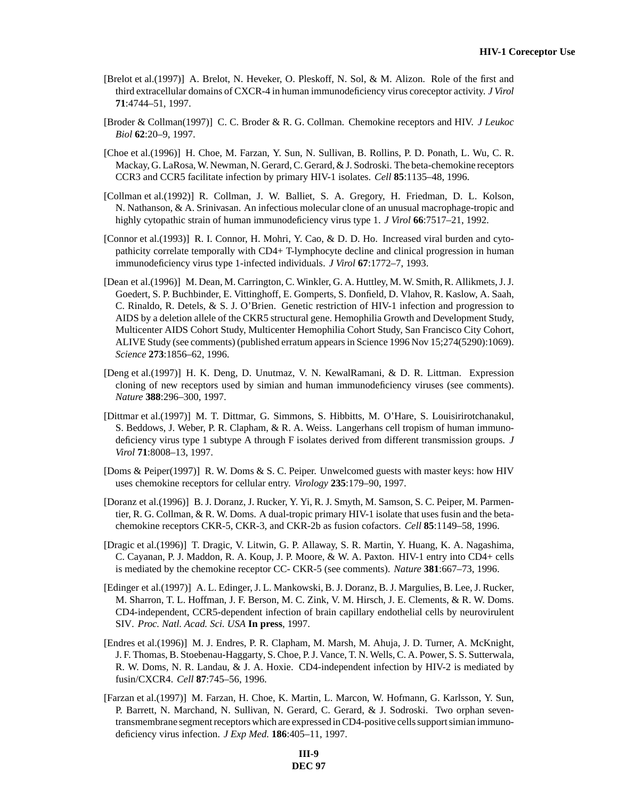- [Brelot et al.(1997)] A. Brelot, N. Heveker, O. Pleskoff, N. Sol, & M. Alizon. Role of the first and third extracellular domains of CXCR-4 in human immunodeficiency virus coreceptor activity. *J Virol* **71**:4744–51, 1997.
- [Broder & Collman(1997)] C. C. Broder & R. G. Collman. Chemokine receptors and HIV. *J Leukoc Biol* **62**:20–9, 1997.
- [Choe et al.(1996)] H. Choe, M. Farzan, Y. Sun, N. Sullivan, B. Rollins, P. D. Ponath, L. Wu, C. R. Mackay, G. LaRosa, W. Newman, N. Gerard, C. Gerard, & J. Sodroski. The beta-chemokine receptors CCR3 and CCR5 facilitate infection by primary HIV-1 isolates. *Cell* **85**:1135–48, 1996.
- [Collman et al.(1992)] R. Collman, J. W. Balliet, S. A. Gregory, H. Friedman, D. L. Kolson, N. Nathanson, & A. Srinivasan. An infectious molecular clone of an unusual macrophage-tropic and highly cytopathic strain of human immunodeficiency virus type 1. *J Virol* **66**:7517–21, 1992.
- [Connor et al.(1993)] R. I. Connor, H. Mohri, Y. Cao, & D. D. Ho. Increased viral burden and cytopathicity correlate temporally with CD4+ T-lymphocyte decline and clinical progression in human immunodeficiency virus type 1-infected individuals. *J Virol* **67**:1772–7, 1993.
- [Dean et al.(1996)] M. Dean, M. Carrington, C. Winkler, G. A. Huttley, M. W. Smith, R. Allikmets, J. J. Goedert, S. P. Buchbinder, E. Vittinghoff, E. Gomperts, S. Donfield, D. Vlahov, R. Kaslow, A. Saah, C. Rinaldo, R. Detels, & S. J. O'Brien. Genetic restriction of HIV-1 infection and progression to AIDS by a deletion allele of the CKR5 structural gene. Hemophilia Growth and Development Study, Multicenter AIDS Cohort Study, Multicenter Hemophilia Cohort Study, San Francisco City Cohort, ALIVE Study (see comments) (published erratum appears in Science 1996 Nov 15;274(5290):1069). *Science* **273**:1856–62, 1996.
- [Deng et al.(1997)] H. K. Deng, D. Unutmaz, V. N. KewalRamani, & D. R. Littman. Expression cloning of new receptors used by simian and human immunodeficiency viruses (see comments). *Nature* **388**:296–300, 1997.
- [Dittmar et al.(1997)] M. T. Dittmar, G. Simmons, S. Hibbitts, M. O'Hare, S. Louisirirotchanakul, S. Beddows, J. Weber, P. R. Clapham, & R. A. Weiss. Langerhans cell tropism of human immunodeficiency virus type 1 subtype A through F isolates derived from different transmission groups. *J Virol* **71**:8008–13, 1997.
- [Doms & Peiper(1997)] R. W. Doms & S. C. Peiper. Unwelcomed guests with master keys: how HIV uses chemokine receptors for cellular entry. *Virology* **235**:179–90, 1997.
- [Doranz et al.(1996)] B. J. Doranz, J. Rucker, Y. Yi, R. J. Smyth, M. Samson, S. C. Peiper, M. Parmentier, R. G. Collman, & R. W. Doms. A dual-tropic primary HIV-1 isolate that uses fusin and the betachemokine receptors CKR-5, CKR-3, and CKR-2b as fusion cofactors. *Cell* **85**:1149–58, 1996.
- [Dragic et al.(1996)] T. Dragic, V. Litwin, G. P. Allaway, S. R. Martin, Y. Huang, K. A. Nagashima, C. Cayanan, P. J. Maddon, R. A. Koup, J. P. Moore, & W. A. Paxton. HIV-1 entry into CD4+ cells is mediated by the chemokine receptor CC- CKR-5 (see comments). *Nature* **381**:667–73, 1996.
- [Edinger et al.(1997)] A. L. Edinger, J. L. Mankowski, B. J. Doranz, B. J. Margulies, B. Lee, J. Rucker, M. Sharron, T. L. Hoffman, J. F. Berson, M. C. Zink, V. M. Hirsch, J. E. Clements, & R. W. Doms. CD4-independent, CCR5-dependent infection of brain capillary endothelial cells by neurovirulent SIV. *Proc. Natl. Acad. Sci. USA* **In press**, 1997.
- [Endres et al.(1996)] M. J. Endres, P. R. Clapham, M. Marsh, M. Ahuja, J. D. Turner, A. McKnight, J. F. Thomas, B. Stoebenau-Haggarty, S. Choe, P. J. Vance, T. N. Wells, C. A. Power, S. S. Sutterwala, R. W. Doms, N. R. Landau, & J. A. Hoxie. CD4-independent infection by HIV-2 is mediated by fusin/CXCR4. *Cell* **87**:745–56, 1996.
- [Farzan et al.(1997)] M. Farzan, H. Choe, K. Martin, L. Marcon, W. Hofmann, G. Karlsson, Y. Sun, P. Barrett, N. Marchand, N. Sullivan, N. Gerard, C. Gerard, & J. Sodroski. Two orphan seventransmembrane segment receptors which are expressed in CD4-positive cells support simian immunodeficiency virus infection. *J Exp Med.* **186**:405–11, 1997.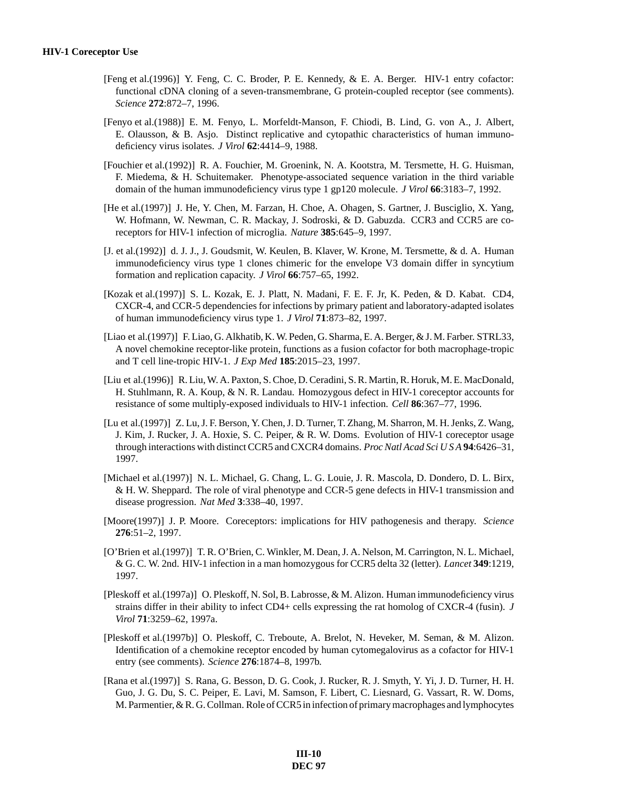- [Feng et al.(1996)] Y. Feng, C. C. Broder, P. E. Kennedy, & E. A. Berger. HIV-1 entry cofactor: functional cDNA cloning of a seven-transmembrane, G protein-coupled receptor (see comments). *Science* **272**:872–7, 1996.
- [Fenyo et al.(1988)] E. M. Fenyo, L. Morfeldt-Manson, F. Chiodi, B. Lind, G. von A., J. Albert, E. Olausson, & B. Asjo. Distinct replicative and cytopathic characteristics of human immunodeficiency virus isolates. *J Virol* **62**:4414–9, 1988.
- [Fouchier et al.(1992)] R. A. Fouchier, M. Groenink, N. A. Kootstra, M. Tersmette, H. G. Huisman, F. Miedema, & H. Schuitemaker. Phenotype-associated sequence variation in the third variable domain of the human immunodeficiency virus type 1 gp120 molecule. *J Virol* **66**:3183–7, 1992.
- [He et al.(1997)] J. He, Y. Chen, M. Farzan, H. Choe, A. Ohagen, S. Gartner, J. Busciglio, X. Yang, W. Hofmann, W. Newman, C. R. Mackay, J. Sodroski, & D. Gabuzda. CCR3 and CCR5 are coreceptors for HIV-1 infection of microglia. *Nature* **385**:645–9, 1997.
- [J. et al.(1992)] d. J. J., J. Goudsmit, W. Keulen, B. Klaver, W. Krone, M. Tersmette, & d. A. Human immunodeficiency virus type 1 clones chimeric for the envelope V3 domain differ in syncytium formation and replication capacity. *J Virol* **66**:757–65, 1992.
- [Kozak et al.(1997)] S. L. Kozak, E. J. Platt, N. Madani, F. E. F. Jr, K. Peden, & D. Kabat. CD4, CXCR-4, and CCR-5 dependencies for infections by primary patient and laboratory-adapted isolates of human immunodeficiency virus type 1. *J Virol* **71**:873–82, 1997.
- [Liao et al.(1997)] F. Liao, G. Alkhatib, K. W. Peden, G. Sharma, E. A. Berger, & J. M. Farber. STRL33, A novel chemokine receptor-like protein, functions as a fusion cofactor for both macrophage-tropic and T cell line-tropic HIV-1. *J Exp Med* **185**:2015–23, 1997.
- [Liu et al.(1996)] R. Liu, W. A. Paxton, S. Choe, D. Ceradini, S. R. Martin, R. Horuk, M. E. MacDonald, H. Stuhlmann, R. A. Koup, & N. R. Landau. Homozygous defect in HIV-1 coreceptor accounts for resistance of some multiply-exposed individuals to HIV-1 infection. *Cell* **86**:367–77, 1996.
- [Lu et al.(1997)] Z. Lu, J. F. Berson, Y. Chen, J. D. Turner, T. Zhang, M. Sharron, M. H. Jenks, Z. Wang, J. Kim, J. Rucker, J. A. Hoxie, S. C. Peiper, & R. W. Doms. Evolution of HIV-1 coreceptor usage through interactions with distinct CCR5 and CXCR4 domains. *Proc Natl Acad Sci U S A* **94**:6426–31, 1997.
- [Michael et al.(1997)] N. L. Michael, G. Chang, L. G. Louie, J. R. Mascola, D. Dondero, D. L. Birx, & H. W. Sheppard. The role of viral phenotype and CCR-5 gene defects in HIV-1 transmission and disease progression. *Nat Med* **3**:338–40, 1997.
- [Moore(1997)] J. P. Moore. Coreceptors: implications for HIV pathogenesis and therapy. *Science* **276**:51–2, 1997.
- [O'Brien et al.(1997)] T. R. O'Brien, C. Winkler, M. Dean, J. A. Nelson, M. Carrington, N. L. Michael, & G. C. W. 2nd. HIV-1 infection in a man homozygous for CCR5 delta 32 (letter). *Lancet* **349**:1219, 1997.
- [Pleskoff et al.(1997a)] O. Pleskoff, N. Sol, B. Labrosse, & M. Alizon. Human immunodeficiency virus strains differ in their ability to infect CD4+ cells expressing the rat homolog of CXCR-4 (fusin). *J Virol* **71**:3259–62, 1997a.
- [Pleskoff et al.(1997b)] O. Pleskoff, C. Treboute, A. Brelot, N. Heveker, M. Seman, & M. Alizon. Identification of a chemokine receptor encoded by human cytomegalovirus as a cofactor for HIV-1 entry (see comments). *Science* **276**:1874–8, 1997b.
- [Rana et al.(1997)] S. Rana, G. Besson, D. G. Cook, J. Rucker, R. J. Smyth, Y. Yi, J. D. Turner, H. H. Guo, J. G. Du, S. C. Peiper, E. Lavi, M. Samson, F. Libert, C. Liesnard, G. Vassart, R. W. Doms, M. Parmentier, & R. G. Collman. Role of CCR5 in infection of primary macrophages and lymphocytes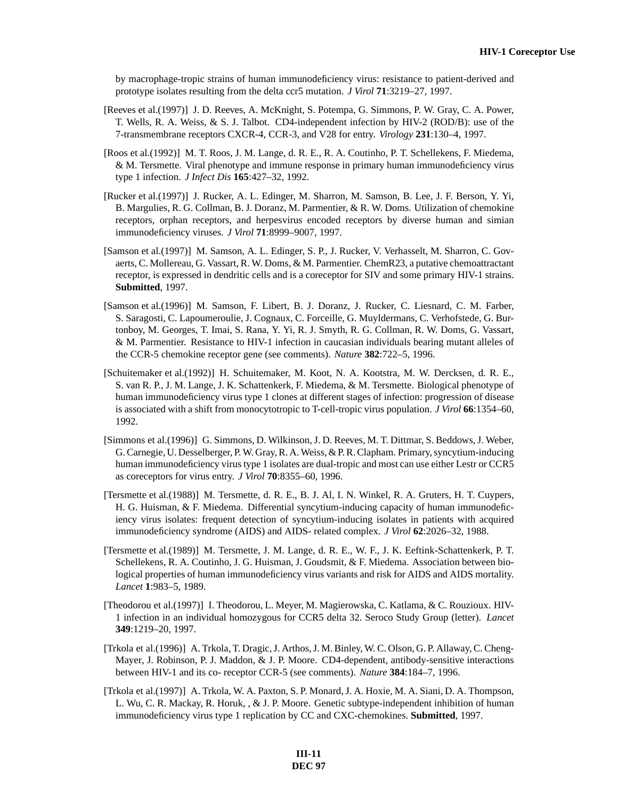by macrophage-tropic strains of human immunodeficiency virus: resistance to patient-derived and prototype isolates resulting from the delta ccr5 mutation. *J Virol* **71**:3219–27, 1997.

- [Reeves et al.(1997)] J. D. Reeves, A. McKnight, S. Potempa, G. Simmons, P. W. Gray, C. A. Power, T. Wells, R. A. Weiss, & S. J. Talbot. CD4-independent infection by HIV-2 (ROD/B): use of the 7-transmembrane receptors CXCR-4, CCR-3, and V28 for entry. *Virology* **231**:130–4, 1997.
- [Roos et al.(1992)] M. T. Roos, J. M. Lange, d. R. E., R. A. Coutinho, P. T. Schellekens, F. Miedema, & M. Tersmette. Viral phenotype and immune response in primary human immunodeficiency virus type 1 infection. *J Infect Dis* **165**:427–32, 1992.
- [Rucker et al.(1997)] J. Rucker, A. L. Edinger, M. Sharron, M. Samson, B. Lee, J. F. Berson, Y. Yi, B. Margulies, R. G. Collman, B. J. Doranz, M. Parmentier, & R. W. Doms. Utilization of chemokine receptors, orphan receptors, and herpesvirus encoded receptors by diverse human and simian immunodeficiency viruses. *J Virol* **71**:8999–9007, 1997.
- [Samson et al.(1997)] M. Samson, A. L. Edinger, S. P., J. Rucker, V. Verhasselt, M. Sharron, C. Govaerts, C. Mollereau, G. Vassart, R. W. Doms, & M. Parmentier. ChemR23, a putative chemoattractant receptor, is expressed in dendritic cells and is a coreceptor for SIV and some primary HIV-1 strains. **Submitted**, 1997.
- [Samson et al.(1996)] M. Samson, F. Libert, B. J. Doranz, J. Rucker, C. Liesnard, C. M. Farber, S. Saragosti, C. Lapoumeroulie, J. Cognaux, C. Forceille, G. Muyldermans, C. Verhofstede, G. Burtonboy, M. Georges, T. Imai, S. Rana, Y. Yi, R. J. Smyth, R. G. Collman, R. W. Doms, G. Vassart, & M. Parmentier. Resistance to HIV-1 infection in caucasian individuals bearing mutant alleles of the CCR-5 chemokine receptor gene (see comments). *Nature* **382**:722–5, 1996.
- [Schuitemaker et al.(1992)] H. Schuitemaker, M. Koot, N. A. Kootstra, M. W. Dercksen, d. R. E., S. van R. P., J. M. Lange, J. K. Schattenkerk, F. Miedema, & M. Tersmette. Biological phenotype of human immunodeficiency virus type 1 clones at different stages of infection: progression of disease is associated with a shift from monocytotropic to T-cell-tropic virus population. *J Virol* **66**:1354–60, 1992.
- [Simmons et al.(1996)] G. Simmons, D. Wilkinson, J. D. Reeves, M. T. Dittmar, S. Beddows, J. Weber, G. Carnegie, U. Desselberger, P. W. Gray, R. A. Weiss, & P. R. Clapham. Primary, syncytium-inducing human immunodeficiency virus type 1 isolates are dual-tropic and most can use either Lestr or CCR5 as coreceptors for virus entry. *J Virol* **70**:8355–60, 1996.
- [Tersmette et al.(1988)] M. Tersmette, d. R. E., B. J. Al, I. N. Winkel, R. A. Gruters, H. T. Cuypers, H. G. Huisman, & F. Miedema. Differential syncytium-inducing capacity of human immunodeficiency virus isolates: frequent detection of syncytium-inducing isolates in patients with acquired immunodeficiency syndrome (AIDS) and AIDS- related complex. *J Virol* **62**:2026–32, 1988.
- [Tersmette et al.(1989)] M. Tersmette, J. M. Lange, d. R. E., W. F., J. K. Eeftink-Schattenkerk, P. T. Schellekens, R. A. Coutinho, J. G. Huisman, J. Goudsmit, & F. Miedema. Association between biological properties of human immunodeficiency virus variants and risk for AIDS and AIDS mortality. *Lancet* **1**:983–5, 1989.
- [Theodorou et al.(1997)] I. Theodorou, L. Meyer, M. Magierowska, C. Katlama, & C. Rouzioux. HIV-1 infection in an individual homozygous for CCR5 delta 32. Seroco Study Group (letter). *Lancet* **349**:1219–20, 1997.
- [Trkola et al.(1996)] A. Trkola, T. Dragic, J. Arthos, J. M. Binley, W. C. Olson, G. P. Allaway, C. Cheng-Mayer, J. Robinson, P. J. Maddon, & J. P. Moore. CD4-dependent, antibody-sensitive interactions between HIV-1 and its co- receptor CCR-5 (see comments). *Nature* **384**:184–7, 1996.
- [Trkola et al.(1997)] A. Trkola, W. A. Paxton, S. P. Monard, J. A. Hoxie, M. A. Siani, D. A. Thompson, L. Wu, C. R. Mackay, R. Horuk, , & J. P. Moore. Genetic subtype-independent inhibition of human immunodeficiency virus type 1 replication by CC and CXC-chemokines. **Submitted**, 1997.